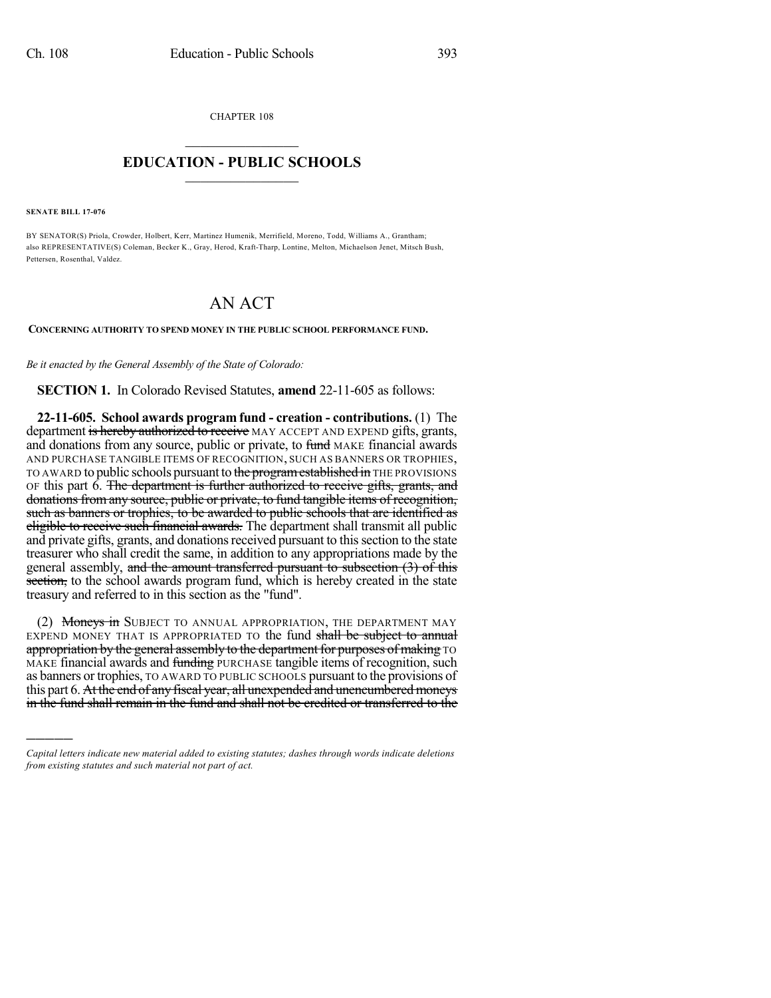CHAPTER 108

## $\mathcal{L}_\text{max}$  . The set of the set of the set of the set of the set of the set of the set of the set of the set of the set of the set of the set of the set of the set of the set of the set of the set of the set of the set **EDUCATION - PUBLIC SCHOOLS**  $\_$   $\_$   $\_$   $\_$   $\_$   $\_$   $\_$   $\_$   $\_$

**SENATE BILL 17-076**

)))))

BY SENATOR(S) Priola, Crowder, Holbert, Kerr, Martinez Humenik, Merrifield, Moreno, Todd, Williams A., Grantham; also REPRESENTATIVE(S) Coleman, Becker K., Gray, Herod, Kraft-Tharp, Lontine, Melton, Michaelson Jenet, Mitsch Bush, Pettersen, Rosenthal, Valdez.

## AN ACT

**CONCERNING AUTHORITY TO SPEND MONEY IN THE PUBLIC SCHOOL PERFORMANCE FUND.**

*Be it enacted by the General Assembly of the State of Colorado:*

**SECTION 1.** In Colorado Revised Statutes, **amend** 22-11-605 as follows:

**22-11-605. School awards program fund - creation - contributions.** (1) The department is hereby authorized to receive MAY ACCEPT AND EXPEND gifts, grants, and donations from any source, public or private, to fund MAKE financial awards AND PURCHASE TANGIBLE ITEMS OF RECOGNITION, SUCH AS BANNERS OR TROPHIES, TO AWARD to public schools pursuant to the program established in THE PROVISIONS OF this part  $\vec{6}$ . The department is further authorized to receive gifts, grants, and donations from any source, public or private, to fund tangible items of recognition, such as banners or trophies, to be awarded to public schools that are identified as eligible to receive such financial awards. The department shall transmit all public and private gifts, grants, and donations received pursuant to this section to the state treasurer who shall credit the same, in addition to any appropriations made by the general assembly, and the amount transferred pursuant to subsection (3) of this section, to the school awards program fund, which is hereby created in the state treasury and referred to in this section as the "fund".

(2) Moneys in SUBJECT TO ANNUAL APPROPRIATION, THE DEPARTMENT MAY EXPEND MONEY THAT IS APPROPRIATED TO the fund shall be subject to annual appropriation by the general assembly to the department for purposes of making TO MAKE financial awards and funding PURCHASE tangible items of recognition, such as banners or trophies, TO AWARD TO PUBLIC SCHOOLS pursuant to the provisions of this part 6. At the end of any fiscal year, all unexpended and unencumbered moneys in the fund shall remain in the fund and shall not be credited or transferred to the

*Capital letters indicate new material added to existing statutes; dashes through words indicate deletions from existing statutes and such material not part of act.*